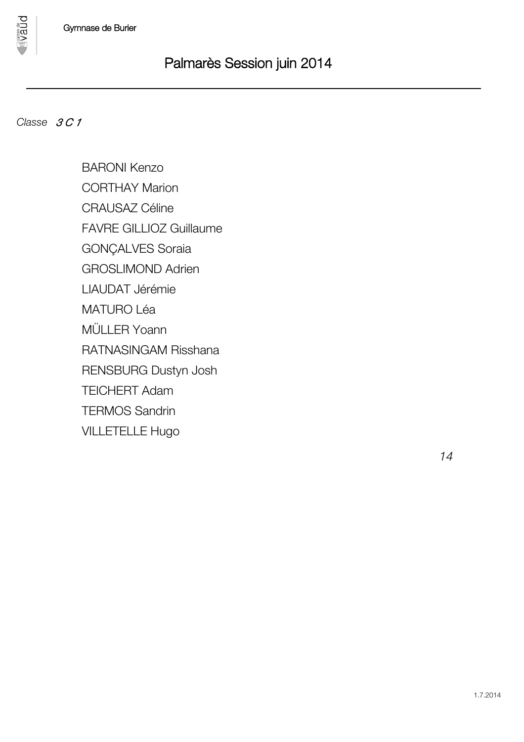

*Classe 3 C 1*

**DUBA** 

BARONI Kenzo CORTHAY Marion CRAUSAZ Céline FAVRE GILLIOZ Guillaume GONÇALVES Soraia GROSLIMOND Adrien LIAUDAT Jérémie MATURO Léa MÜLLER Yoann RATNASINGAM Risshana RENSBURG Dustyn Josh TEICHERT Adam TERMOS Sandrin VILLETELLE Hugo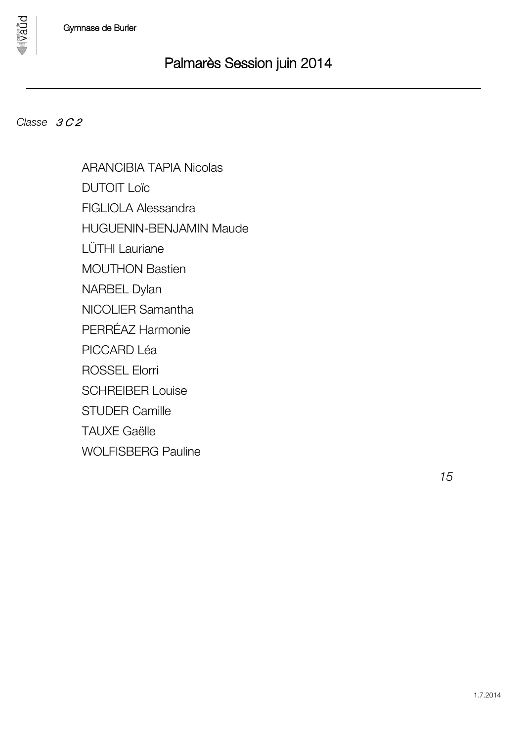### *Classe 3 C 2*

**Dnan** 

ARANCIBIA TAPIA Nicolas DUTOIT Loïc FIGLIOLA Alessandra HUGUENIN-BENJAMIN Maude LÜTHI Lauriane MOUTHON Bastien NARBEL Dylan NICOLIER Samantha PERRÉAZ Harmonie PICCARD Léa ROSSEL Elorri SCHREIBER Louise STUDER Camille TAUXE Gaëlle WOLFISBERG Pauline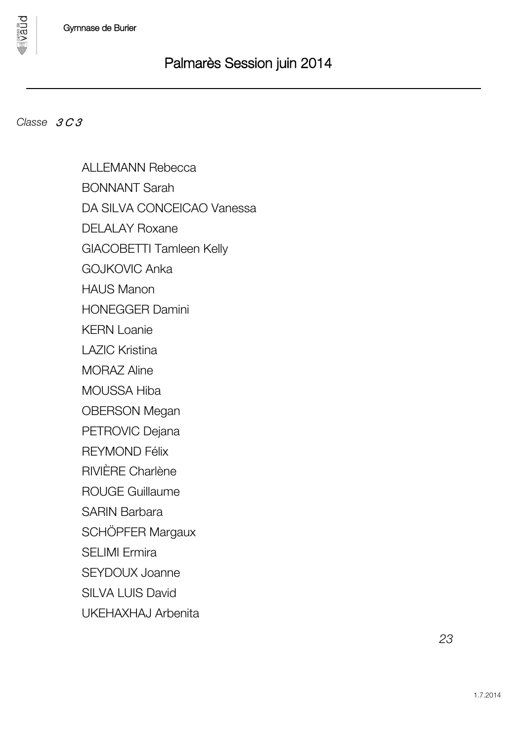### *Classe 3 C 3*

pnan

ALLEMANN Rebecca BONNANT Sarah DA SILVA CONCEICAO Vanessa DELALAY Roxane GIACOBETTI Tamleen Kelly GOJKOVIC Anka HAUS Manon HONEGGER Damini KERN Loanie LAZIC Kristina MORAZ Aline MOUSSA Hiba OBERSON Megan PETROVIC Dejana REYMOND Félix RIVIÈRE Charlène ROUGE Guillaume SARIN Barbara SCHÖPFER Margaux SELIMI Ermira SEYDOUX Joanne SILVA LUIS David UKEHAXHAJ Arbenita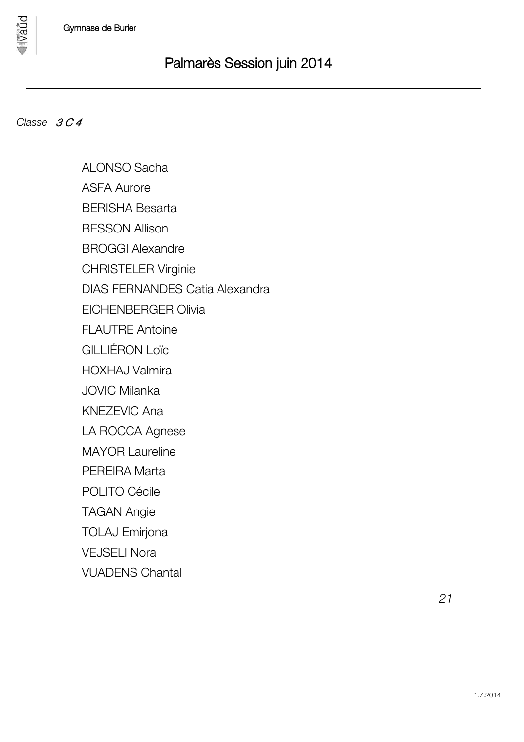## *Classe 3 C 4*

pnan

ALONSO Sacha ASFA Aurore BERISHA Besarta BESSON Allison BROGGI Alexandre CHRISTELER Virginie DIAS FERNANDES Catia Alexandra EICHENBERGER Olivia FLAUTRE Antoine GILLIÉRON Loïc HOXHAJ Valmira JOVIC Milanka KNEZEVIC Ana LA ROCCA Agnese MAYOR Laureline PEREIRA Marta POLITO Cécile TAGAN Angie TOLAJ Emirjona VEJSELI Nora VUADENS Chantal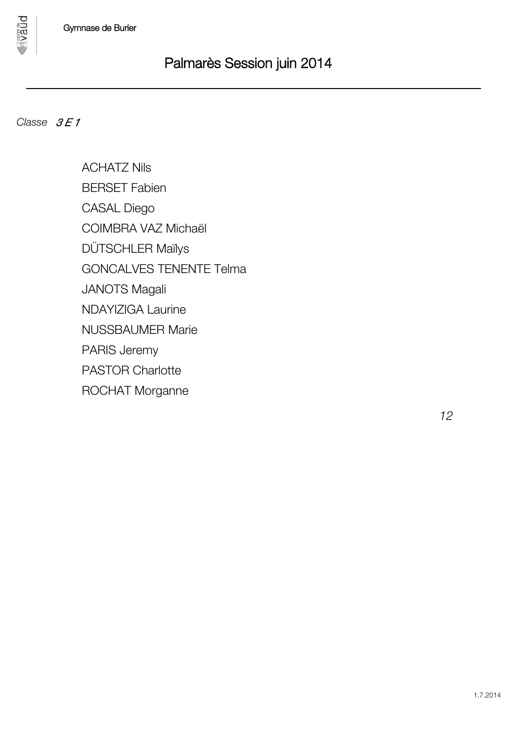

*Classe*  $3E1$ 

**DUBA** 

ACHATZ Nils BERSET Fabien CASAL Diego COIMBRA VAZ Michaël DÜTSCHLER Maïlys GONCALVES TENENTE Telma JANOTS Magali NDAYIZIGA Laurine NUSSBAUMER Marie PARIS Jeremy PASTOR Charlotte ROCHAT Morganne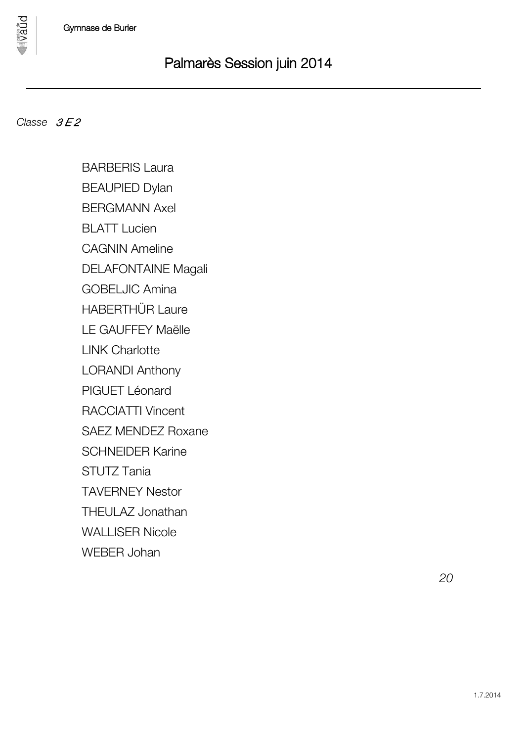### *Classe*  $3E2$

**DUBA** 

BARBERIS Laura BEAUPIED Dylan BERGMANN Axel BLATT Lucien CAGNIN Ameline DELAFONTAINE Magali GOBELJIC Amina HABERTHÜR Laure LE GAUFFEY Maëlle LINK Charlotte LORANDI Anthony PIGUET Léonard RACCIATTI Vincent SAEZ MENDEZ Roxane SCHNEIDER Karine STUTZ Tania TAVERNEY Nestor THEULAZ Jonathan WALLISER Nicole WEBER Johan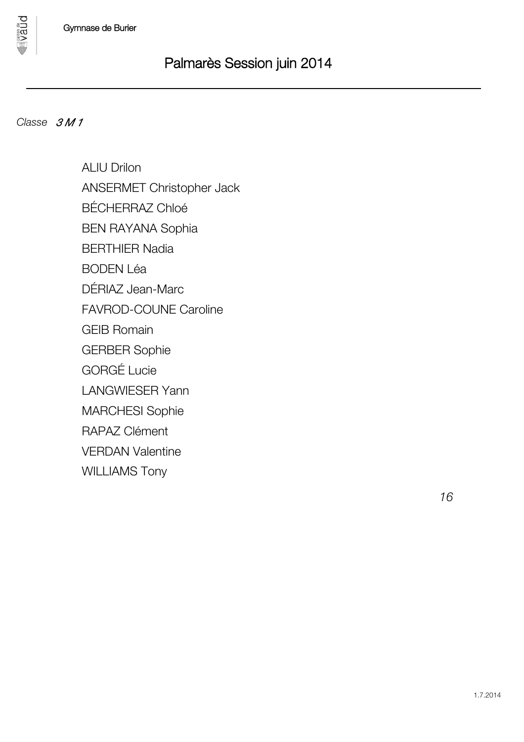### *Classe 3 M 1*

**DUBA** 

ALIU Drilon ANSERMET Christopher Jack BÉCHERRAZ Chloé BEN RAYANA Sophia BERTHIER Nadia BODEN Léa DÉRIAZ Jean-Marc FAVROD-COUNE Caroline GEIB Romain GERBER Sophie GORGÉ Lucie LANGWIESER Yann MARCHESI Sophie RAPAZ Clément VERDAN Valentine WILLIAMS Tony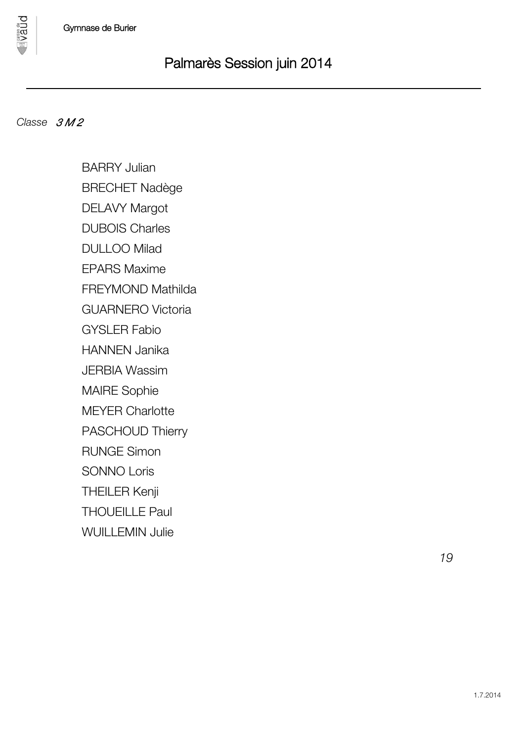

### *<i>Classe 3M2*

**DDBA** 

BARRY Julian BRECHET Nadège DELAVY Margot DUBOIS Charles DULLOO Milad EPARS Maxime FREYMOND Mathilda GUARNERO Victoria GYSLER Fabio HANNEN Janika JERBIA Wassim MAIRE Sophie MEYER Charlotte PASCHOUD Thierry RUNGE Simon SONNO Loris THEILER Kenji THOUEILLE Paul WUILLEMIN Julie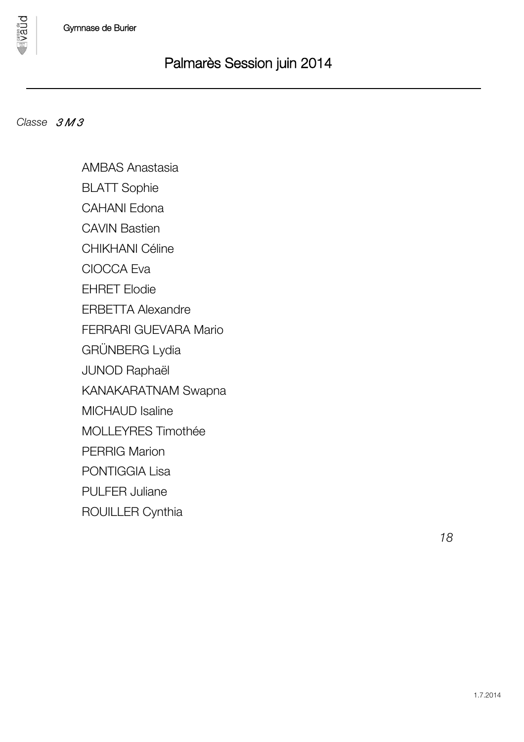

**Dnan** 

AMBAS Anastasia BLATT Sophie CAHANI Edona CAVIN Bastien CHIKHANI Céline CIOCCA Eva EHRET Elodie ERBETTA Alexandre FERRARI GUEVARA Mario GRÜNBERG Lydia JUNOD Raphaël KANAKARATNAM Swapna MICHAUD Isaline MOLLEYRES Timothée PERRIG Marion PONTIGGIA Lisa PULFER Juliane ROUILLER Cynthia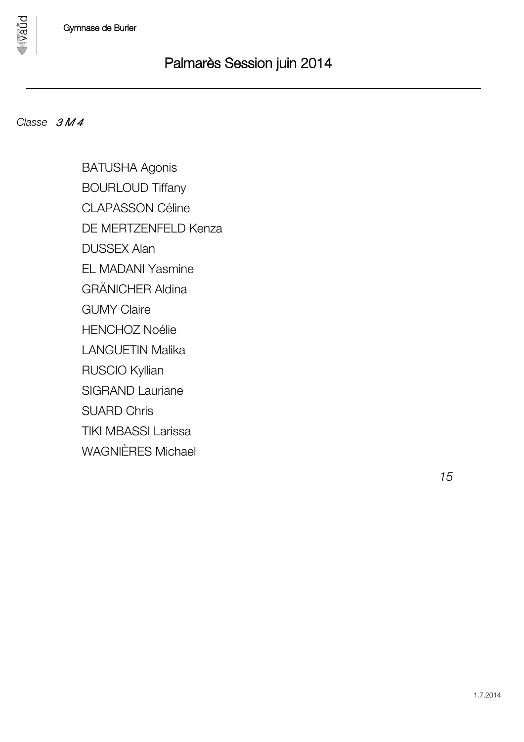

**DDBA** 

BATUSHA Agonis BOURLOUD Tiffany CLAPASSON Céline DE MERTZENFELD Kenza DUSSEX Alan EL MADANI Yasmine GRÄNICHER Aldina GUMY Claire HENCHOZ Noélie LANGUETIN Malika RUSCIO Kyllian SIGRAND Lauriane SUARD Chris TIKI MBASSI Larissa WAGNIÈRES Michael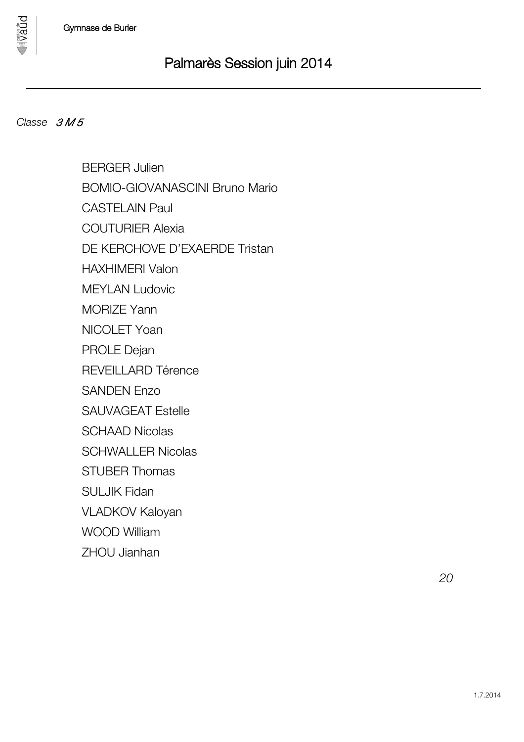### *Classe 3 M 5*

pnan

BERGER Julien BOMIO-GIOVANASCINI Bruno Mario CASTEL AIN Paul COUTURIER Alexia DE KERCHOVE D'EXAERDE Tristan HAXHIMERI Valon MEYLAN Ludovic MORIZE Yann NICOLET Yoan PROLE Dejan REVEILLARD Térence SANDEN Enzo SAUVAGEAT Estelle SCHAAD Nicolas SCHWALLER Nicolas STUBER Thomas SULJIK Fidan VLADKOV Kaloyan WOOD William ZHOU Jianhan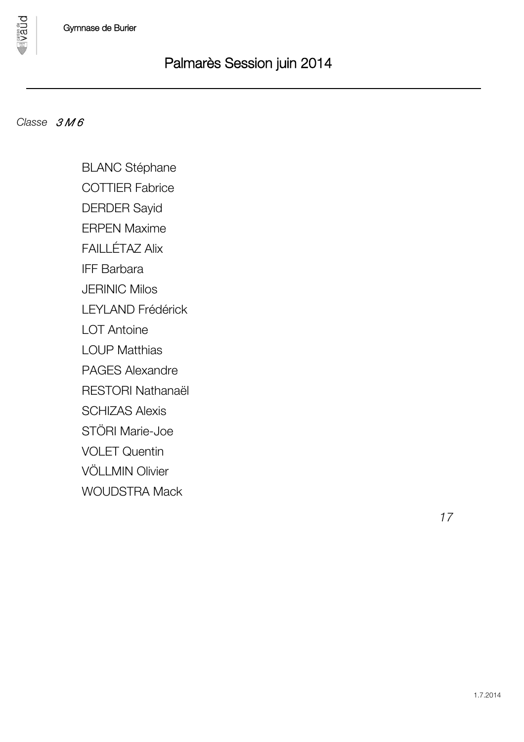### *Classe 3 M 6*

**DUBA** 

BLANC Stéphane

COTTIER Fabrice

DERDER Sayid

ERPEN Maxime

FAILLÉTAZ Alix

IFF Barbara

JERINIC Milos

LEYLAND Frédérick

LOT Antoine

LOUP Matthias

PAGES Alexandre

RESTORI Nathanaël

SCHIZAS Alexis

STÖRI Marie-Joe

VOLET Quentin

VÖLLMIN Olivier

WOUDSTRA Mack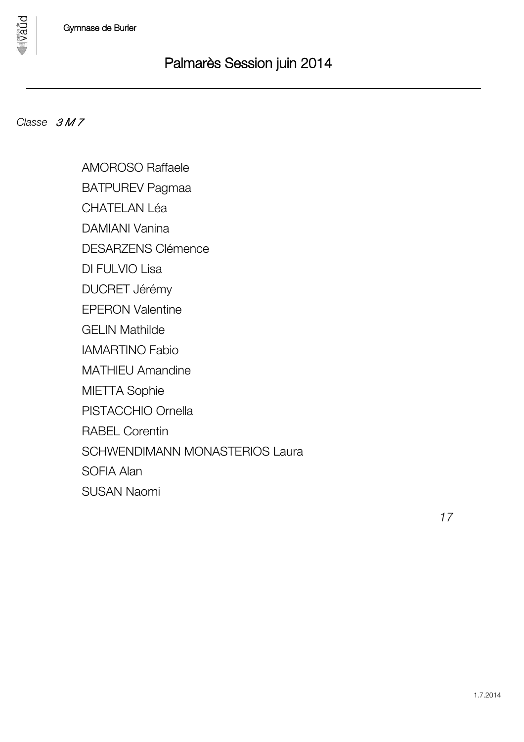

### *<i>Classe 3M7*

**Dnan** 

AMOROSO Raffaele

BATPUREV Pagmaa

CHATELAN Léa

DAMIANI Vanina

DESARZENS Clémence

DI FULVIO Lisa

DUCRET Jérémy

EPERON Valentine

GELIN Mathilde

IAMARTINO Fabio

MATHIEU Amandine

MIETTA Sophie

PISTACCHIO Ornella

RABEL Corentin

SCHWENDIMANN MONASTERIOS Laura

SOFIA Alan

SUSAN Naomi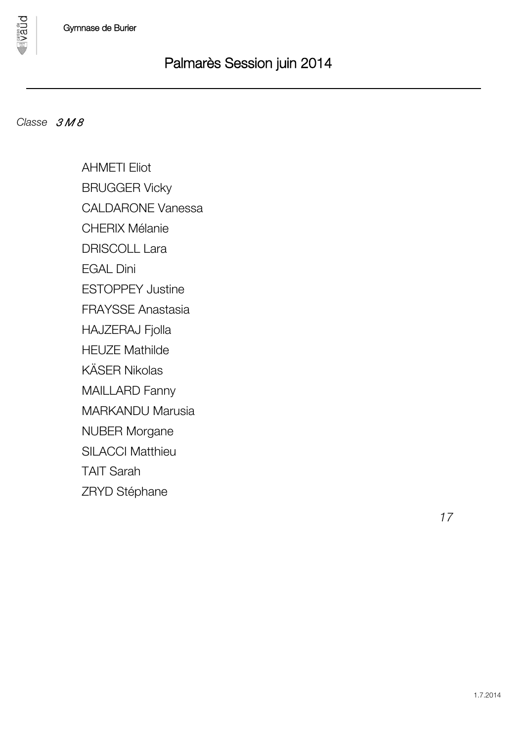

**DUBA** 

AHMETI Eliot BRUGGER Vicky CALDARONE Vanessa CHERIX Mélanie DRISCOLL Lara EGAL Dini ESTOPPEY Justine FRAYSSE Anastasia HAJZERAJ Fjolla HEUZE Mathilde KÄSER Nikolas MAILLARD Fanny MARKANDU Marusia NUBER Morgane SILACCI Matthieu TAIT Sarah ZRYD Stéphane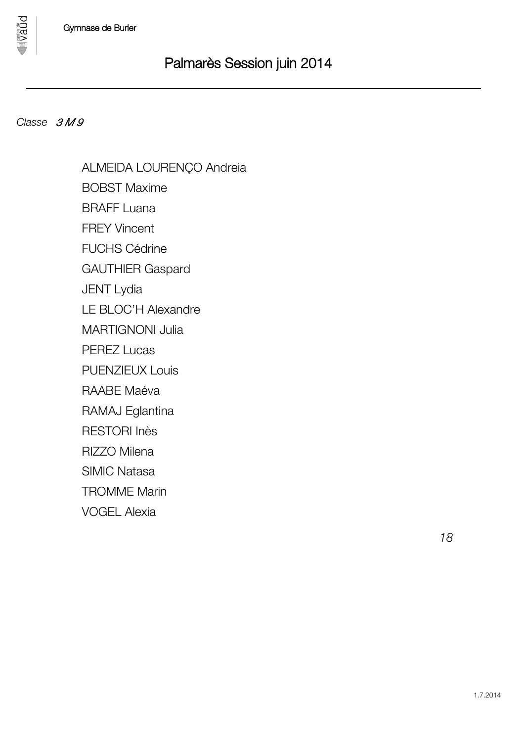### *Classe 3 M 9*

**DDBA** 

ALMEIDA LOURENÇO Andreia BOBST Maxime BRAFF Luana FREY Vincent FUCHS Cédrine GAUTHIER Gaspard JENT Lydia LE BLOC'H Alexandre MARTIGNONI Julia PEREZ Lucas PUENZIEUX Louis RAABE Maéva RAMAJ Eglantina RESTORI Inès RIZZO Milena SIMIC Natasa TROMME Marin VOGEL Alexia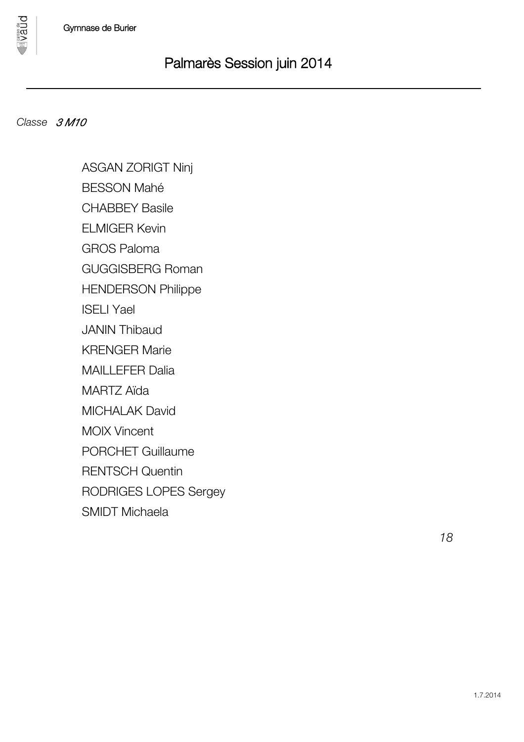### *Classe 3 M10*

pnan

ASGAN ZORIGT Ninj BESSON Mahé CHABBEY Basile ELMIGER Kevin GROS Paloma GUGGISBERG Roman HENDERSON Philippe ISELI Yael JANIN Thibaud KRENGER Marie MAILLEFER Dalia MARTZ Aïda MICHALAK David MOIX Vincent PORCHET Guillaume RENTSCH Quentin RODRIGES LOPES Sergey SMIDT Michaela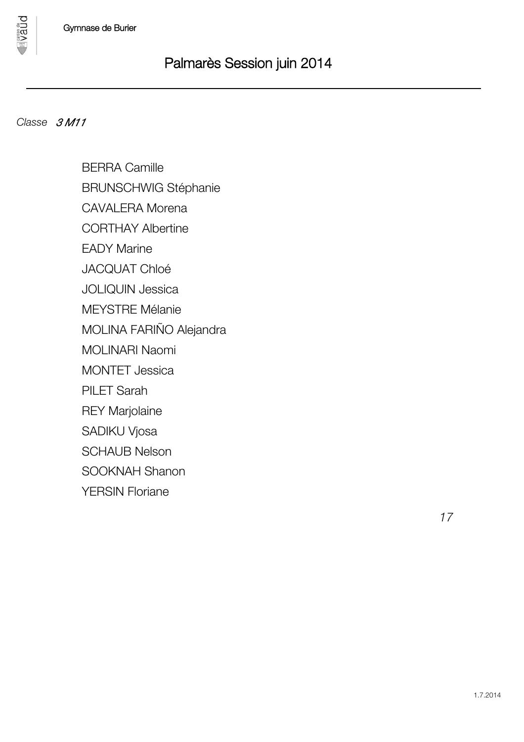### *Classe 3 M11*

pnan

BERRA Camille BRUNSCHWIG Stéphanie CAVALERA Morena CORTHAY Albertine EADY Marine JACQUAT Chloé JOLIQUIN Jessica MEYSTRE Mélanie MOLINA FARIÑO Alejandra MOLINARI Naomi MONTET Jessica PILET Sarah REY Marjolaine SADIKU Vjosa SCHAUB Nelson SOOKNAH Shanon YERSIN Floriane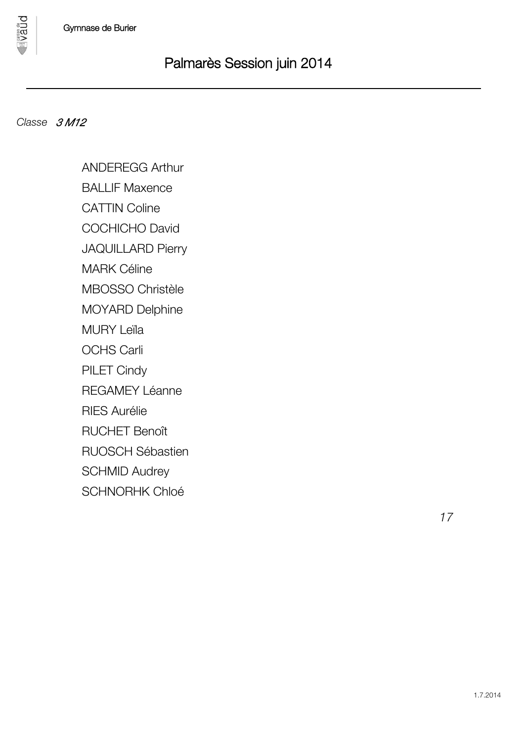**DDBA** 

ANDEREGG Arthur

BALLIF Maxence

CATTIN Coline

COCHICHO David

JAQUILLARD Pierry

MARK Céline

MBOSSO Christèle

MOYARD Delphine

MURY Leïla

OCHS Carli

PILET Cindy

REGAMEY Léanne

RIES Aurélie

RUCHET Benoît

RUOSCH Sébastien

SCHMID Audrey

SCHNORHK Chloé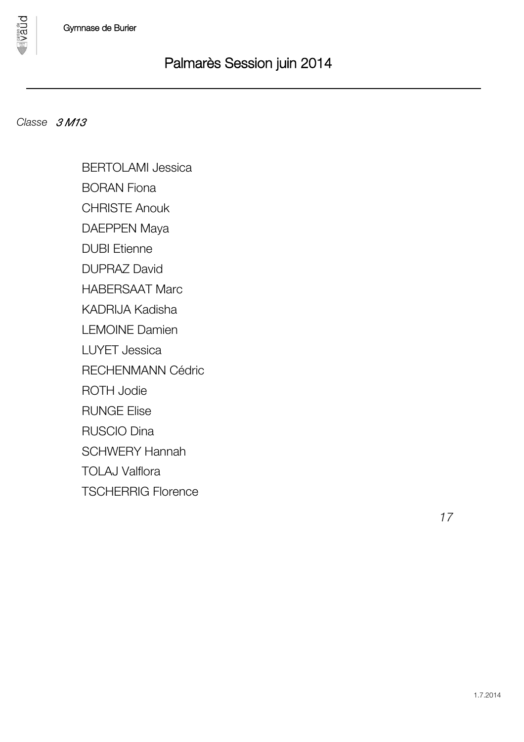### *Classe 3 M13*

pnan

BERTOLAMI Jessica

BORAN Fiona

CHRISTE Anouk

DAEPPEN Maya

DUBI Etienne

DUPRAZ David

HABERSAAT Marc

KADRIJA Kadisha

LEMOINE Damien

LUYET Jessica

RECHENMANN Cédric

ROTH Jodie

RUNGE Elise

RUSCIO Dina

SCHWERY Hannah

TOLAJ Valflora

TSCHERRIG Florence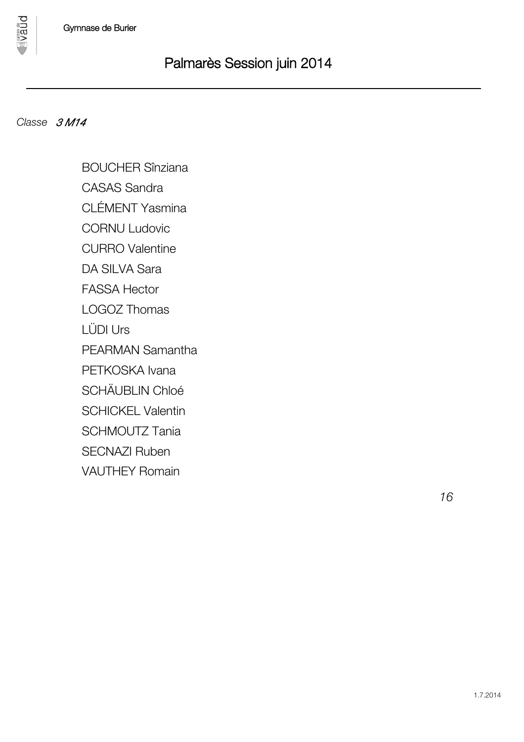### *Classe 3 M14*

**Dnan** 

BOUCHER Sînziana CASAS Sandra CLÉMENT Yasmina

CORNU Ludovic

CURRO Valentine

DA SILVA Sara

FASSA Hector

LOGOZ Thomas

LÜDI Urs

PEARMAN Samantha

PETKOSKA Ivana

SCHÄUBLIN Chloé

SCHICKEL Valentin

SCHMOUTZ Tania

SECNAZI Ruben

VAUTHEY Romain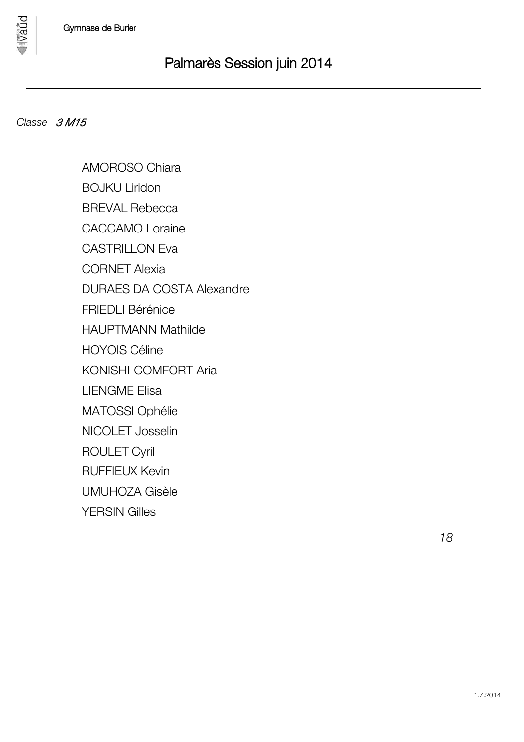### *Classe 3 M15*

pnan

AMOROSO Chiara BOJKU Liridon BREVAL Rebecca CACCAMO Loraine CASTRILLON Eva CORNET Alexia DURAES DA COSTA Alexandre FRIEDLI Bérénice HAUPTMANN Mathilde HOYOIS Céline KONISHI-COMFORT Aria LIENGME Elisa MATOSSI Ophélie NICOLET Josselin ROULET Cyril RUFFIEUX Kevin UMUHOZA Gisèle YERSIN Gilles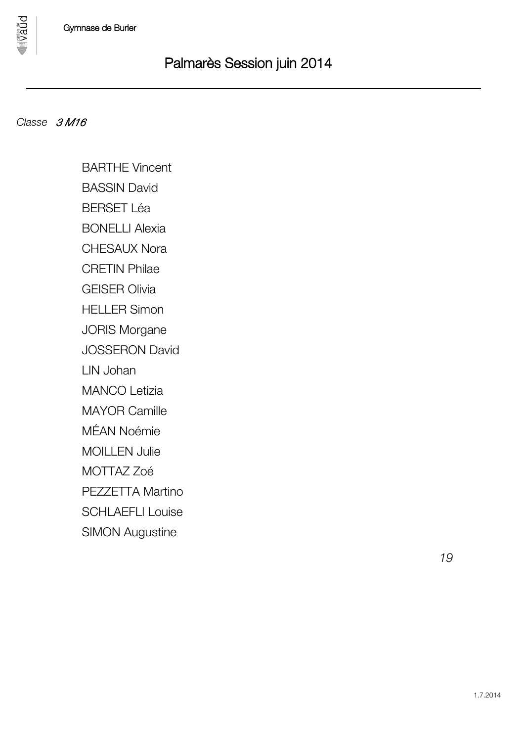

**DDBA** 

BARTHE Vincent BASSIN David BERSET Léa

BONELLI Alexia

CHESAUX Nora

CRETIN Philae

GEISER Olivia

HELLER Simon

JORIS Morgane

JOSSERON David

LIN Johan

MANCO Letizia

MAYOR Camille

MÉAN Noémie

MOILLEN Julie

MOTTAZ Zoé

PEZZETTA Martino

SCHLAEFLI Louise

SIMON Augustine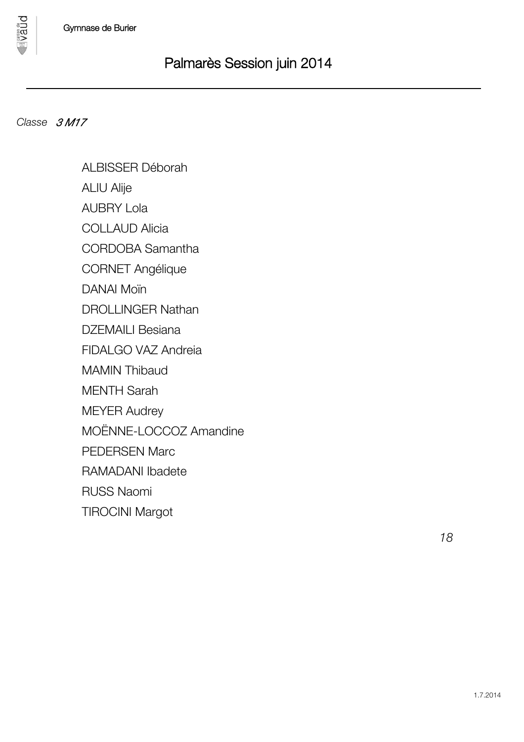

**Dnan** 

ALBISSER Déborah ALIU Alije AUBRY Lola COLLAUD Alicia CORDOBA Samantha CORNET Angélique

DANAI Moïn

DROLLINGER Nathan

DZEMAILI Besiana

FIDALGO VAZ Andreia

MAMIN Thibaud

MENTH Sarah

MEYER Audrey

MOËNNE-LOCCOZ Amandine

PEDERSEN Marc

RAMADANI Ibadete

RUSS Naomi

TIROCINI Margot